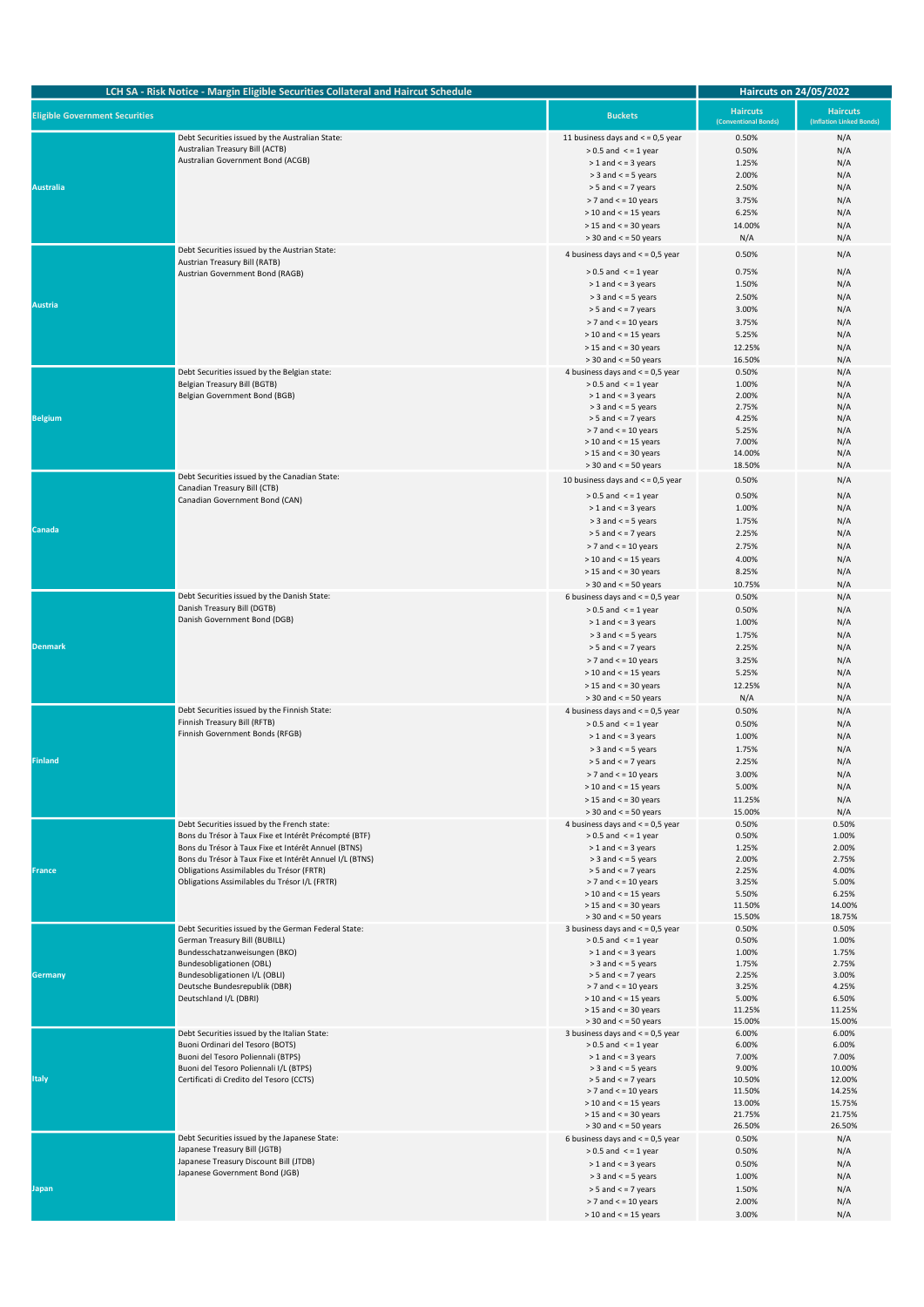| LCH SA - Risk Notice - Margin Eligible Securities Collateral and Haircut Schedule |                                                                                                                                                                                                                                                                                                                      | <b>Haircuts on 24/05/2022</b>                                                                                                                                                                                                                                         |                                                                                    |                                                                                     |
|-----------------------------------------------------------------------------------|----------------------------------------------------------------------------------------------------------------------------------------------------------------------------------------------------------------------------------------------------------------------------------------------------------------------|-----------------------------------------------------------------------------------------------------------------------------------------------------------------------------------------------------------------------------------------------------------------------|------------------------------------------------------------------------------------|-------------------------------------------------------------------------------------|
| <b>Eligible Government Securities</b>                                             |                                                                                                                                                                                                                                                                                                                      | <b>Buckets</b>                                                                                                                                                                                                                                                        | <b>Haircuts</b><br>(Conventional Bonds)                                            | <b>Haircuts</b><br>(Inflation Linked Bonds)                                         |
| <b>Australia</b>                                                                  | Debt Securities issued by the Australian State:<br>Australian Treasury Bill (ACTB)<br>Australian Government Bond (ACGB)                                                                                                                                                                                              | 11 business days and $<$ = 0,5 year<br>$> 0.5$ and $\le$ = 1 year<br>$> 1$ and $<$ = 3 years<br>$>$ 3 and $<$ = 5 years<br>$> 5$ and $<$ = 7 years<br>$>$ 7 and $<$ = 10 years<br>$>$ 10 and $<$ = 15 years<br>$>$ 15 and $<$ = 30 years<br>$>$ 30 and $<$ = 50 years | 0.50%<br>0.50%<br>1.25%<br>2.00%<br>2.50%<br>3.75%<br>6.25%<br>14.00%<br>N/A       | N/A<br>N/A<br>N/A<br>N/A<br>N/A<br>N/A<br>N/A<br>N/A<br>N/A                         |
| <b>Austria</b>                                                                    | Debt Securities issued by the Austrian State:<br>Austrian Treasury Bill (RATB)<br>Austrian Government Bond (RAGB)                                                                                                                                                                                                    | 4 business days and $<$ = 0,5 year<br>$> 0.5$ and $\leq$ = 1 year<br>$> 1$ and $<$ = 3 years<br>$>$ 3 and $<$ = 5 years<br>$> 5$ and $<$ = 7 years<br>$>$ 7 and $<$ = 10 years<br>$>$ 10 and $<$ = 15 years<br>$>$ 15 and $<$ = 30 years<br>$>$ 30 and $<$ = 50 years | 0.50%<br>0.75%<br>1.50%<br>2.50%<br>3.00%<br>3.75%<br>5.25%<br>12.25%<br>16.50%    | N/A<br>N/A<br>N/A<br>N/A<br>N/A<br>N/A<br>N/A<br>N/A<br>N/A                         |
| <b>Belgium</b>                                                                    | Debt Securities issued by the Belgian state:<br><b>Belgian Treasury Bill (BGTB)</b><br>Belgian Government Bond (BGB)                                                                                                                                                                                                 | 4 business days and $<$ = 0,5 year<br>$> 0.5$ and $\le$ = 1 year<br>$> 1$ and $<$ = 3 years<br>$>$ 3 and $<$ = 5 years<br>$>$ 5 and $<$ = 7 years<br>$>$ 7 and $<$ = 10 years<br>$>$ 10 and $<$ = 15 years<br>$>$ 15 and $<$ = 30 years<br>$>$ 30 and $<$ = 50 years  | 0.50%<br>1.00%<br>2.00%<br>2.75%<br>4.25%<br>5.25%<br>7.00%<br>14.00%<br>18.50%    | N/A<br>N/A<br>N/A<br>N/A<br>N/A<br>N/A<br>N/A<br>N/A<br>N/A                         |
| Canada                                                                            | Debt Securities issued by the Canadian State:<br>Canadian Treasury Bill (CTB)<br>Canadian Government Bond (CAN)                                                                                                                                                                                                      | 10 business days and $<$ = 0,5 year<br>$> 0.5$ and $\le$ = 1 year<br>$> 1$ and $<$ = 3 years<br>$>$ 3 and $<$ = 5 years<br>$> 5$ and $<$ = 7 years<br>$>$ 7 and $<$ = 10 years<br>$>$ 10 and $<$ = 15 years<br>$>$ 15 and $<$ = 30 years<br>$>$ 30 and $<$ = 50 years | 0.50%<br>0.50%<br>1.00%<br>1.75%<br>2.25%<br>2.75%<br>4.00%<br>8.25%<br>10.75%     | N/A<br>N/A<br>N/A<br>N/A<br>N/A<br>N/A<br>N/A<br>N/A<br>N/A                         |
| <b>Denmark</b>                                                                    | Debt Securities issued by the Danish State:<br>Danish Treasury Bill (DGTB)<br>Danish Government Bond (DGB)                                                                                                                                                                                                           | 6 business days and $<$ = 0,5 year<br>$> 0.5$ and $\le$ = 1 year<br>$> 1$ and $<$ = 3 years<br>$>$ 3 and $<$ = 5 years<br>$> 5$ and $<$ = 7 years<br>$>$ 7 and $<$ = 10 years<br>$>$ 10 and $<$ = 15 years<br>$>$ 15 and $<$ = 30 years<br>$>$ 30 and $<$ = 50 years  | 0.50%<br>0.50%<br>1.00%<br>1.75%<br>2.25%<br>3.25%<br>5.25%<br>12.25%<br>N/A       | N/A<br>N/A<br>N/A<br>N/A<br>N/A<br>N/A<br>N/A<br>N/A<br>N/A                         |
| <b>Finland</b>                                                                    | Debt Securities issued by the Finnish State:<br>Finnish Treasury Bill (RFTB)<br>Finnish Government Bonds (RFGB)                                                                                                                                                                                                      | 4 business days and $<$ = 0,5 year<br>$> 0.5$ and $\le$ = 1 year<br>$> 1$ and $<$ = 3 years<br>$>$ 3 and $<$ = 5 years<br>$> 5$ and $<$ = 7 years<br>$>$ 7 and $<$ = 10 years<br>$>$ 10 and $<$ = 15 years<br>$>$ 15 and $<$ = 30 years<br>$>$ 30 and $<$ = 50 years  | 0.50%<br>0.50%<br>1.00%<br>1.75%<br>2.25%<br>3.00%<br>5.00%<br>11.25%<br>15.00%    | N/A<br>N/A<br>N/A<br>N/A<br>N/A<br>N/A<br>N/A<br>N/A<br>N/A                         |
| France                                                                            | Debt Securities issued by the French state:<br>Bons du Trésor à Taux Fixe et Intérêt Précompté (BTF)<br>Bons du Trésor à Taux Fixe et Intérêt Annuel (BTNS)<br>Bons du Trésor à Taux Fixe et Intérêt Annuel I/L (BTNS)<br>Obligations Assimilables du Trésor (FRTR)<br>Obligations Assimilables du Trésor I/L (FRTR) | 4 business days and $<$ = 0,5 year<br>$> 0.5$ and $\leq$ = 1 year<br>$> 1$ and $<$ = 3 years<br>$>$ 3 and $<$ = 5 years<br>$>$ 5 and $<$ = 7 years<br>$>$ 7 and $<$ = 10 years<br>$>$ 10 and $<$ = 15 years<br>$>$ 15 and $<$ = 30 years<br>$>$ 30 and $<$ = 50 years | 0.50%<br>0.50%<br>1.25%<br>2.00%<br>2.25%<br>3.25%<br>5.50%<br>11.50%<br>15.50%    | 0.50%<br>1.00%<br>2.00%<br>2.75%<br>4.00%<br>5.00%<br>6.25%<br>14.00%<br>18.75%     |
| Germany                                                                           | Debt Securities issued by the German Federal State:<br>German Treasury Bill (BUBILL)<br>Bundesschatzanweisungen (BKO)<br>Bundesobligationen (OBL)<br>Bundesobligationen I/L (OBLI)<br>Deutsche Bundesrepublik (DBR)<br>Deutschland I/L (DBRI)                                                                        | 3 business days and $<$ = 0,5 year<br>$> 0.5$ and $\le$ = 1 year<br>$> 1$ and $<$ = 3 years<br>$>$ 3 and $<$ = 5 years<br>$>$ 5 and $<$ = 7 years<br>$>$ 7 and $<$ = 10 years<br>$>$ 10 and $<$ = 15 years<br>$>$ 15 and $<$ = 30 years<br>$>$ 30 and $<$ = 50 years  | 0.50%<br>0.50%<br>1.00%<br>1.75%<br>2.25%<br>3.25%<br>5.00%<br>11.25%<br>15.00%    | 0.50%<br>1.00%<br>1.75%<br>2.75%<br>3.00%<br>4.25%<br>6.50%<br>11.25%<br>15.00%     |
| Italy                                                                             | Debt Securities issued by the Italian State:<br>Buoni Ordinari del Tesoro (BOTS)<br>Buoni del Tesoro Poliennali (BTPS)<br>Buoni del Tesoro Poliennali I/L (BTPS)<br>Certificati di Credito del Tesoro (CCTS)                                                                                                         | 3 business days and $<$ = 0,5 year<br>$> 0.5$ and $\le$ = 1 year<br>$> 1$ and $<$ = 3 years<br>$>$ 3 and $<$ = 5 years<br>$> 5$ and $<$ = 7 years<br>$> 7$ and $<$ = 10 years<br>$>$ 10 and $<$ = 15 years<br>$>$ 15 and $<$ = 30 years<br>$>$ 30 and $<$ = 50 years  | 6.00%<br>6.00%<br>7.00%<br>9.00%<br>10.50%<br>11.50%<br>13.00%<br>21.75%<br>26.50% | 6.00%<br>6.00%<br>7.00%<br>10.00%<br>12.00%<br>14.25%<br>15.75%<br>21.75%<br>26.50% |
| Japan                                                                             | Debt Securities issued by the Japanese State:<br>Japanese Treasury Bill (JGTB)<br>Japanese Treasury Discount Bill (JTDB)<br>Japanese Government Bond (JGB)                                                                                                                                                           | 6 business days and $<$ = 0,5 year<br>$> 0.5$ and $\le$ = 1 year<br>$> 1$ and $<$ = 3 years<br>$>$ 3 and $<$ = 5 years<br>$> 5$ and $<$ = 7 years<br>$>$ 7 and $<$ = 10 years<br>$>$ 10 and $<$ = 15 years                                                            | 0.50%<br>0.50%<br>0.50%<br>1.00%<br>1.50%<br>2.00%<br>3.00%                        | N/A<br>N/A<br>N/A<br>N/A<br>N/A<br>N/A<br>N/A                                       |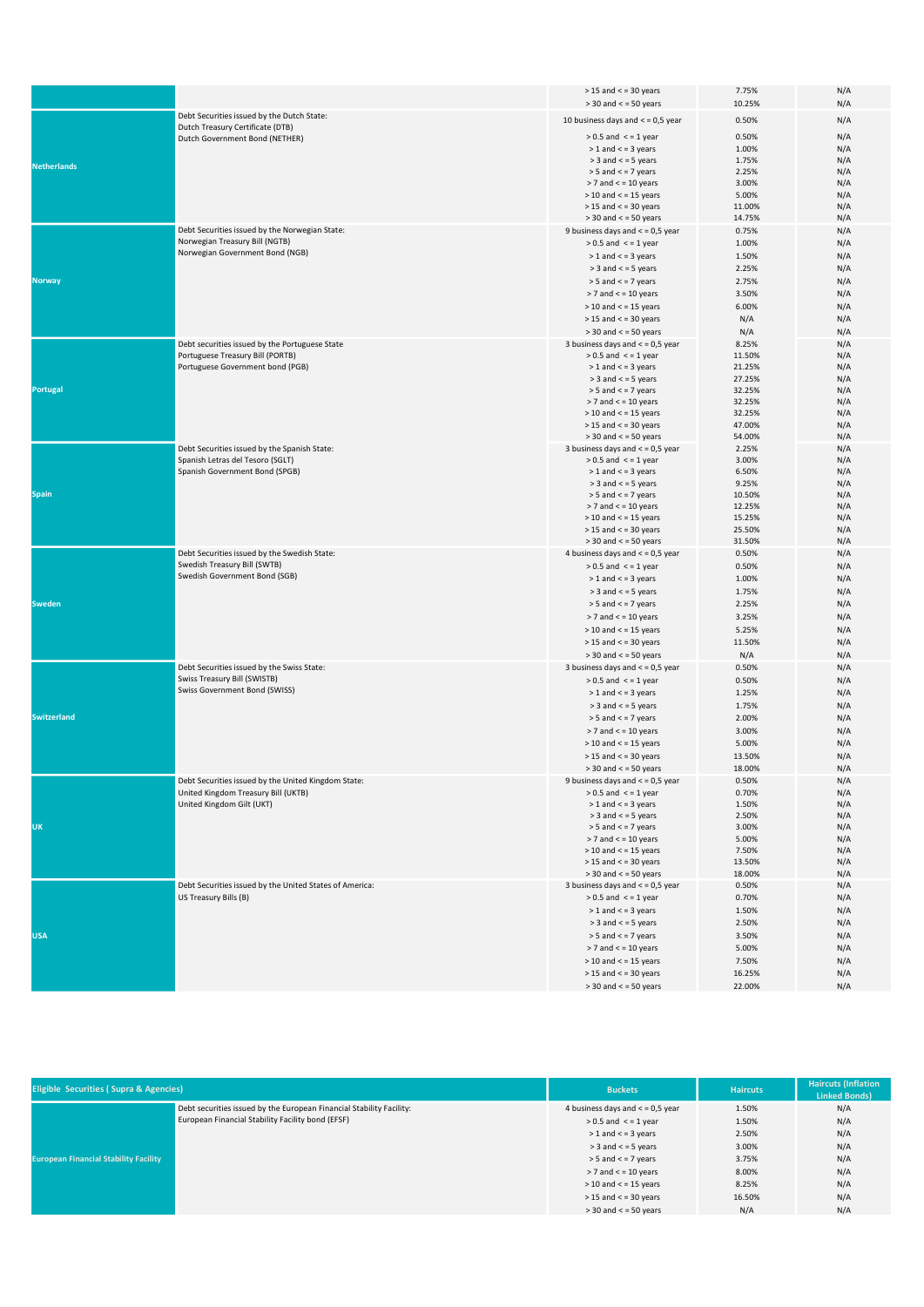|                    |                                                                                    | $>$ 15 and $<$ = 30 years                                        | 7.75%           | N/A        |
|--------------------|------------------------------------------------------------------------------------|------------------------------------------------------------------|-----------------|------------|
|                    |                                                                                    | $>$ 30 and $<$ = 50 years                                        | 10.25%          | N/A        |
|                    | Debt Securities issued by the Dutch State:                                         | 10 business days and $<$ = 0,5 year                              | 0.50%           | N/A        |
|                    | Dutch Treasury Certificate (DTB)                                                   | $> 0.5$ and $\le$ = 1 year                                       | 0.50%           | N/A        |
|                    | Dutch Government Bond (NETHER)                                                     | $> 1$ and $<$ = 3 years                                          | 1.00%           | N/A        |
|                    |                                                                                    | $>$ 3 and $<$ = 5 years                                          | 1.75%           | N/A        |
| <b>Netherlands</b> |                                                                                    | $> 5$ and $<$ = 7 years                                          | 2.25%           | N/A        |
|                    |                                                                                    | $>$ 7 and $<$ = 10 years                                         | 3.00%           | N/A        |
|                    |                                                                                    | $>$ 10 and $<$ = 15 years                                        | 5.00%           | N/A        |
|                    |                                                                                    | $>$ 15 and $<$ = 30 years                                        | 11.00%          | N/A        |
|                    |                                                                                    | $>$ 30 and $<$ = 50 years                                        | 14.75%          | N/A        |
|                    | Debt Securities issued by the Norwegian State:                                     | 9 business days and $<$ = 0,5 year                               | 0.75%           | N/A        |
|                    | Norwegian Treasury Bill (NGTB)                                                     | $> 0.5$ and $\le$ = 1 year                                       | 1.00%           | N/A        |
|                    | Norwegian Government Bond (NGB)                                                    | $> 1$ and $<$ = 3 years                                          | 1.50%           | N/A        |
|                    |                                                                                    | $>$ 3 and $<$ = 5 years                                          | 2.25%           | N/A        |
| <b>Norway</b>      |                                                                                    | $> 5$ and $<$ = 7 years                                          | 2.75%           | N/A        |
|                    |                                                                                    | $>$ 7 and $<$ = 10 years                                         | 3.50%           | N/A        |
|                    |                                                                                    | $>$ 10 and $<$ = 15 years                                        | 6.00%           | N/A        |
|                    |                                                                                    | $>$ 15 and $<$ = 30 years                                        | N/A             | N/A        |
|                    |                                                                                    | $>$ 30 and $<$ = 50 years                                        | N/A             | N/A        |
|                    | Debt securities issued by the Portuguese State<br>Portuguese Treasury Bill (PORTB) | 3 business days and $<$ = 0,5 year<br>$> 0.5$ and $\le$ = 1 year | 8.25%<br>11.50% | N/A<br>N/A |
|                    | Portuguese Government bond (PGB)                                                   | $> 1$ and $<$ = 3 years                                          | 21.25%          | N/A        |
|                    |                                                                                    | $>$ 3 and $<$ = 5 years                                          | 27.25%          | N/A        |
| <b>Portugal</b>    |                                                                                    | $>$ 5 and $<$ = 7 years                                          | 32.25%          | N/A        |
|                    |                                                                                    | $>$ 7 and $<$ = 10 years                                         | 32.25%          | N/A        |
|                    |                                                                                    | $>$ 10 and $<$ = 15 years                                        | 32.25%          | N/A        |
|                    |                                                                                    | $>$ 15 and $<$ = 30 years                                        | 47.00%          | N/A        |
|                    |                                                                                    | $>$ 30 and $<$ = 50 years                                        | 54.00%          | N/A        |
|                    | Debt Securities issued by the Spanish State:                                       | 3 business days and $<$ = 0,5 year                               | 2.25%           | N/A        |
|                    | Spanish Letras del Tesoro (SGLT)                                                   | $> 0.5$ and $\le$ = 1 year<br>$> 1$ and $<$ = 3 years            | 3.00%           | N/A        |
|                    | Spanish Government Bond (SPGB)                                                     | $>$ 3 and $<$ = 5 years                                          | 6.50%<br>9.25%  | N/A<br>N/A |
| <b>Spain</b>       |                                                                                    | $> 5$ and $<$ = 7 years                                          | 10.50%          | N/A        |
|                    |                                                                                    | $> 7$ and $<$ = 10 years                                         | 12.25%          | N/A        |
|                    |                                                                                    | $>$ 10 and $<$ = 15 years                                        | 15.25%          | N/A        |
|                    |                                                                                    | $>$ 15 and $<$ = 30 years                                        | 25.50%          | N/A        |
|                    |                                                                                    | $>$ 30 and $<$ = 50 years                                        | 31.50%          | N/A        |
|                    | Debt Securities issued by the Swedish State:                                       | 4 business days and $<$ = 0,5 year                               | 0.50%           | N/A        |
|                    | Swedish Treasury Bill (SWTB)                                                       | $> 0.5$ and $\le$ = 1 year                                       | 0.50%           | N/A        |
|                    | Swedish Government Bond (SGB)                                                      | $> 1$ and $<$ = 3 years                                          | 1.00%           | N/A        |
|                    |                                                                                    | $>$ 3 and $<$ = 5 years                                          | 1.75%           | N/A        |
| <b>Sweden</b>      |                                                                                    | $> 5$ and $<$ = 7 years                                          | 2.25%           | N/A        |
|                    |                                                                                    | $>$ 7 and $<$ = 10 years                                         | 3.25%           | N/A        |
|                    |                                                                                    | $>$ 10 and $<$ = 15 years                                        | 5.25%           | N/A        |
|                    |                                                                                    | $>$ 15 and $<$ = 30 years                                        | 11.50%          | N/A        |
|                    |                                                                                    | $>$ 30 and $<$ = 50 years                                        | N/A             | N/A        |
|                    | Debt Securities issued by the Swiss State:<br>Swiss Treasury Bill (SWISTB)         | 3 business days and $<$ = 0,5 year                               | 0.50%           | N/A        |
|                    | Swiss Government Bond (SWISS)                                                      | $> 0.5$ and $\le$ = 1 year                                       | 0.50%           | N/A        |
|                    |                                                                                    | $> 1$ and $<$ = 3 years                                          | 1.25%           | N/A        |
| <b>Switzerland</b> |                                                                                    | $>$ 3 and $<$ = 5 years<br>$>$ 5 and $<$ = 7 years               | 1.75%           | N/A        |
|                    |                                                                                    | $>$ 7 and $<$ = 10 years                                         | 2.00%<br>3.00%  | N/A<br>N/A |
|                    |                                                                                    | $>$ 10 and $<$ = 15 years                                        | 5.00%           | N/A        |
|                    |                                                                                    | $>$ 15 and $<$ = 30 years                                        | 13.50%          | N/A        |
|                    |                                                                                    | $>$ 30 and $<$ = 50 years                                        | 18.00%          | N/A        |
|                    | Debt Securities issued by the United Kingdom State:                                | 9 business days and $<$ = 0,5 year                               | 0.50%           | N/A        |
|                    | United Kingdom Treasury Bill (UKTB)                                                | $> 0.5$ and $\le$ = 1 year                                       | 0.70%           | N/A        |
|                    | United Kingdom Gilt (UKT)                                                          | $> 1$ and $<$ = 3 years                                          | 1.50%           | N/A        |
|                    |                                                                                    | $>$ 3 and $<$ = 5 years                                          | 2.50%           | N/A        |
| <b>UK</b>          |                                                                                    | $> 5$ and $<$ = 7 years                                          | 3.00%           | N/A        |
|                    |                                                                                    | $>$ 7 and $<$ = 10 years                                         | 5.00%           | N/A        |
|                    |                                                                                    | $>$ 10 and $<$ = 15 years<br>$>$ 15 and $<$ = 30 years           | 7.50%<br>13.50% | N/A<br>N/A |
|                    |                                                                                    | $>$ 30 and $<$ = 50 years                                        | 18.00%          | N/A        |
|                    | Debt Securities issued by the United States of America:                            | 3 business days and $<$ = 0,5 year                               | 0.50%           | N/A        |
| <b>USA</b>         | US Treasury Bills (B)                                                              | $> 0.5$ and $\le$ = 1 year                                       | 0.70%           | N/A        |
|                    |                                                                                    | $> 1$ and $<$ = 3 years                                          | 1.50%           | N/A        |
|                    |                                                                                    | $>$ 3 and $<$ = 5 years                                          | 2.50%           | N/A        |
|                    |                                                                                    | $>$ 5 and $<$ = 7 years                                          | 3.50%           | N/A        |
|                    |                                                                                    | $> 7$ and $<$ = 10 years                                         | 5.00%           | N/A        |
|                    |                                                                                    | $>$ 10 and $<$ = 15 years                                        | 7.50%           | N/A        |
|                    |                                                                                    | $>$ 15 and $<$ = 30 years                                        | 16.25%          | N/A        |
|                    |                                                                                    |                                                                  |                 |            |

| <b>Eligible Securities (Supra &amp; Agencies)</b> |                                                                                                                           | <b>Buckets</b>                     | <b>Haircuts</b> | <b>Haircuts (Inflation</b><br>Linked Bonds) |
|---------------------------------------------------|---------------------------------------------------------------------------------------------------------------------------|------------------------------------|-----------------|---------------------------------------------|
| <b>European Financial Stability Facility</b>      | Debt securities issued by the European Financial Stability Facility:<br>European Financial Stability Facility bond (EFSF) | 4 business days and $<$ = 0,5 year | 1.50%           | N/A                                         |
|                                                   |                                                                                                                           | $> 0.5$ and $\le$ = 1 year         | 1.50%           | N/A                                         |
|                                                   |                                                                                                                           | $> 1$ and $<$ = 3 years            | 2.50%           | N/A                                         |
|                                                   |                                                                                                                           | $>$ 3 and $<$ = 5 years            | 3.00%           | N/A                                         |
|                                                   |                                                                                                                           | $>$ 5 and $<$ = 7 years            | 3.75%           | N/A                                         |
|                                                   |                                                                                                                           | $>$ 7 and $\lt$ = 10 years         | 8.00%           | N/A                                         |
|                                                   |                                                                                                                           | $>$ 10 and $<$ = 15 years          | 8.25%           | N/A                                         |
|                                                   |                                                                                                                           | $>$ 15 and $<$ = 30 years          | 16.50%          | N/A                                         |
|                                                   |                                                                                                                           | $>$ 30 and $<$ = 50 years          | N/A             | N/A                                         |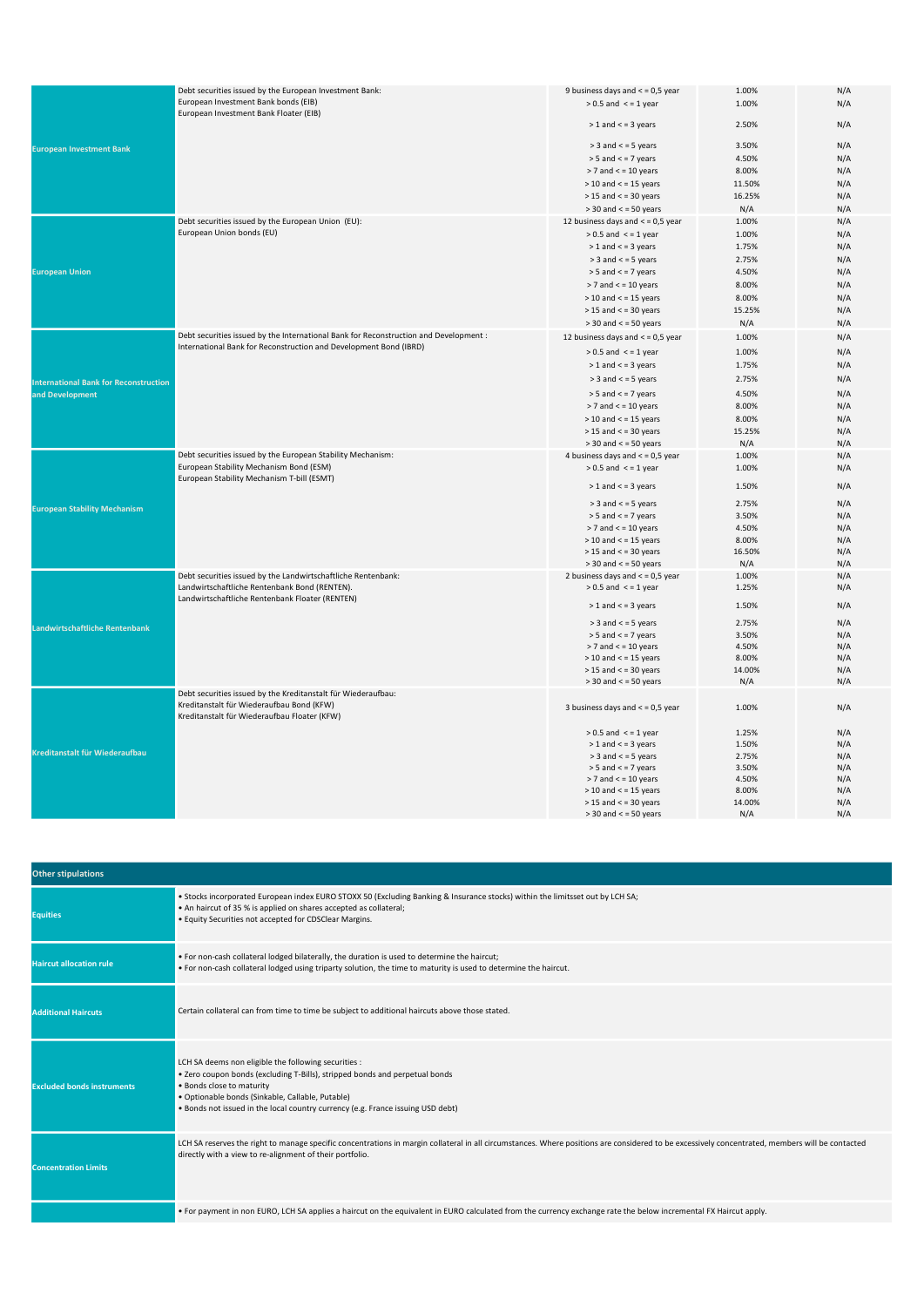|                                              | Debt securities issued by the European Investment Bank:                               | 9 business days and $<$ = 0,5 year  | 1.00%  | N/A |
|----------------------------------------------|---------------------------------------------------------------------------------------|-------------------------------------|--------|-----|
|                                              | European Investment Bank bonds (EIB)                                                  | $> 0.5$ and $\le$ = 1 year          | 1.00%  | N/A |
|                                              | European Investment Bank Floater (EIB)                                                |                                     |        |     |
|                                              |                                                                                       | $> 1$ and $<$ = 3 years             | 2.50%  | N/A |
|                                              |                                                                                       |                                     |        |     |
| <b>European Investment Bank</b>              |                                                                                       | $>$ 3 and $<$ = 5 years             | 3.50%  | N/A |
|                                              |                                                                                       | $> 5$ and $<$ = 7 years             | 4.50%  | N/A |
|                                              |                                                                                       | $> 7$ and $<$ = 10 years            | 8.00%  | N/A |
|                                              |                                                                                       | $>$ 10 and $<$ = 15 years           | 11.50% | N/A |
|                                              |                                                                                       | $>$ 15 and $<$ = 30 years           | 16.25% | N/A |
|                                              |                                                                                       | $>$ 30 and $<$ = 50 years           | N/A    | N/A |
|                                              | Debt securities issued by the European Union (EU):                                    | 12 business days and $<$ = 0,5 year | 1.00%  | N/A |
|                                              | European Union bonds (EU)                                                             | $> 0.5$ and $\leq$ = 1 year         | 1.00%  | N/A |
|                                              |                                                                                       | $> 1$ and $<$ = 3 years             | 1.75%  | N/A |
|                                              |                                                                                       | $>$ 3 and $<$ = 5 years             | 2.75%  | N/A |
| <b>European Union</b>                        |                                                                                       | $> 5$ and $<$ = 7 years             | 4.50%  | N/A |
|                                              |                                                                                       | $> 7$ and $<$ = 10 years            | 8.00%  | N/A |
|                                              |                                                                                       | $>$ 10 and $<$ = 15 years           | 8.00%  | N/A |
|                                              |                                                                                       | $>$ 15 and $<$ = 30 years           | 15.25% | N/A |
|                                              |                                                                                       |                                     |        |     |
|                                              |                                                                                       | $>$ 30 and $<$ = 50 years           | N/A    | N/A |
|                                              | Debt securities issued by the International Bank for Reconstruction and Development : | 12 business days and $<$ = 0,5 year | 1.00%  | N/A |
|                                              | International Bank for Reconstruction and Development Bond (IBRD)                     | $> 0.5$ and $\le$ = 1 year          | 1.00%  | N/A |
|                                              |                                                                                       | $> 1$ and $<$ = 3 years             | 1.75%  | N/A |
| <b>International Bank for Reconstruction</b> |                                                                                       | $>$ 3 and $<$ = 5 years             | 2.75%  | N/A |
| and Development                              |                                                                                       | $> 5$ and $<$ = 7 years             | 4.50%  | N/A |
|                                              |                                                                                       | $> 7$ and $<$ = 10 years            | 8.00%  | N/A |
|                                              |                                                                                       |                                     |        |     |
|                                              |                                                                                       | $>$ 10 and $<$ = 15 years           | 8.00%  | N/A |
|                                              |                                                                                       | $>$ 15 and $<$ = 30 years           | 15.25% | N/A |
|                                              |                                                                                       | $>$ 30 and $<$ = 50 years           | N/A    | N/A |
|                                              | Debt securities issued by the European Stability Mechanism:                           | 4 business days and $<$ = 0,5 year  | 1.00%  | N/A |
|                                              | European Stability Mechanism Bond (ESM)<br>European Stability Mechanism T-bill (ESMT) | $> 0.5$ and $\le$ = 1 year          | 1.00%  | N/A |
|                                              |                                                                                       | $> 1$ and $<$ = 3 years             | 1.50%  | N/A |
|                                              |                                                                                       | $>$ 3 and $<$ = 5 years             | 2.75%  | N/A |
| <b>European Stability Mechanism</b>          |                                                                                       | $> 5$ and $<$ = 7 years             | 3.50%  | N/A |
|                                              |                                                                                       | $> 7$ and $<$ = 10 years            | 4.50%  | N/A |
|                                              |                                                                                       | $>$ 10 and $<$ = 15 years           | 8.00%  | N/A |
|                                              |                                                                                       | $>$ 15 and $<$ = 30 years           | 16.50% | N/A |
|                                              |                                                                                       | $>$ 30 and $<$ = 50 years           | N/A    | N/A |
|                                              | Debt securities issued by the Landwirtschaftliche Rentenbank:                         | 2 business days and $<$ = 0,5 year  | 1.00%  | N/A |
|                                              | Landwirtschaftliche Rentenbank Bond (RENTEN).                                         | $> 0.5$ and $\le$ = 1 year          | 1.25%  | N/A |
|                                              | Landwirtschaftliche Rentenbank Floater (RENTEN)                                       |                                     |        |     |
| Landwirtschaftliche Rentenbank               |                                                                                       | $> 1$ and $<$ = 3 years             | 1.50%  | N/A |
|                                              |                                                                                       | $>$ 3 and $<$ = 5 years             | 2.75%  | N/A |
|                                              |                                                                                       | $> 5$ and $<$ = 7 years             | 3.50%  | N/A |
|                                              |                                                                                       | $> 7$ and $<$ = 10 years            | 4.50%  | N/A |
|                                              |                                                                                       | $>$ 10 and $<$ = 15 years           | 8.00%  | N/A |
|                                              |                                                                                       | $>$ 15 and $<$ = 30 years           | 14.00% | N/A |
|                                              |                                                                                       | $>$ 30 and $<$ = 50 years           | N/A    | N/A |
|                                              | Debt securities issued by the Kreditanstalt für Wiederaufbau:                         |                                     |        |     |
|                                              | Kreditanstalt für Wiederaufbau Bond (KFW)                                             | 3 business days and $<$ = 0,5 year  | 1.00%  | N/A |
|                                              | Kreditanstalt für Wiederaufbau Floater (KFW)                                          |                                     |        |     |
|                                              |                                                                                       | $> 0.5$ and $\le$ = 1 year          | 1.25%  | N/A |
|                                              |                                                                                       | $> 1$ and $<$ = 3 years             | 1.50%  | N/A |
| Kreditanstalt für Wiederaufbau               |                                                                                       | $>$ 3 and $<$ = 5 years             | 2.75%  | N/A |
|                                              |                                                                                       | $> 5$ and $<$ = 7 years             | 3.50%  | N/A |
|                                              |                                                                                       | $> 7$ and $<$ = 10 years            | 4.50%  | N/A |
|                                              |                                                                                       | $>$ 10 and $<$ = 15 years           | 8.00%  | N/A |
|                                              |                                                                                       | $>$ 15 and $<$ = 30 years           | 14.00% | N/A |
|                                              |                                                                                       | $>$ 30 and $<$ = 50 years           | N/A    | N/A |

| <b>Other stipulations</b>         |                                                                                                                                                                                                                                                                                                         |  |  |
|-----------------------------------|---------------------------------------------------------------------------------------------------------------------------------------------------------------------------------------------------------------------------------------------------------------------------------------------------------|--|--|
| <b>Equities</b>                   | . Stocks incorporated European index EURO STOXX 50 (Excluding Banking & Insurance stocks) within the limitsset out by LCH SA;<br>• An haircut of 35 % is applied on shares accepted as collateral;<br>. Equity Securities not accepted for CDSClear Margins.                                            |  |  |
| <b>Haircut allocation rule</b>    | . For non-cash collateral lodged bilaterally, the duration is used to determine the haircut;<br>. For non-cash collateral lodged using triparty solution, the time to maturity is used to determine the haircut.                                                                                        |  |  |
| <b>Additional Haircuts</b>        | Certain collateral can from time to time be subject to additional haircuts above those stated.                                                                                                                                                                                                          |  |  |
| <b>Excluded bonds instruments</b> | LCH SA deems non eligible the following securities :<br>. Zero coupon bonds (excluding T-Bills), stripped bonds and perpetual bonds<br>. Bonds close to maturity<br>· Optionable bonds (Sinkable, Callable, Putable)<br>. Bonds not issued in the local country currency (e.g. France issuing USD debt) |  |  |
| <b>Concentration Limits</b>       | LCH SA reserves the right to manage specific concentrations in margin collateral in all circumstances. Where positions are considered to be excessively concentrated, members will be contacted<br>directly with a view to re-alignment of their portfolio.                                             |  |  |
|                                   | . For payment in non EURO, LCH SA applies a haircut on the equivalent in EURO calculated from the currency exchange rate the below incremental FX Haircut apply.                                                                                                                                        |  |  |